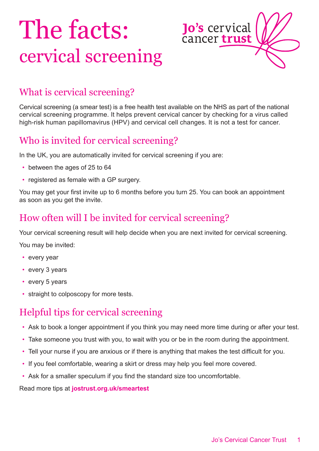# The facts: cervical screening



## What is cervical screening?

Cervical screening (a smear test) is a free health test available on the NHS as part of the national cervical screening programme. It helps prevent cervical cancer by checking for a virus called high-risk human papillomavirus (HPV) and cervical cell changes. It is not a test for cancer.

## Who is invited for cervical screening?

In the UK, you are automatically invited for cervical screening if you are:

- between the ages of 25 to 64
- registered as female with a GP surgery.

You may get your first invite up to 6 months before you turn 25. You can book an appointment as soon as you get the invite.

#### How often will I be invited for cervical screening?

Your cervical screening result will help decide when you are next invited for cervical screening.

You may be invited:

- every year
- every 3 years
- every 5 years
- straight to colposcopy for more tests.

#### Helpful tips for cervical screening

- Ask to book a longer appointment if you think you may need more time during or after your test.
- Take someone you trust with you, to wait with you or be in the room during the appointment.
- Tell your nurse if you are anxious or if there is anything that makes the test difficult for you.
- If you feel comfortable, wearing a skirt or dress may help you feel more covered.
- Ask for a smaller speculum if you find the standard size too uncomfortable.

Read more tips at **[jostrust.org.uk/smeartest](https://www.jostrust.org.uk/information/cervical-screening)**